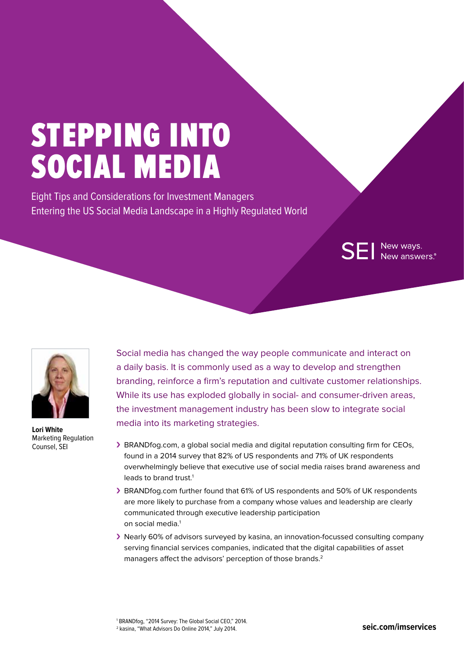# STEPPING INTO SOCIAL MEDIA

Eight Tips and Considerations for Investment Managers Entering the US Social Media Landscape in a Highly Regulated World

**SEI** New ways.<br>SEI New answers.



**Lori White**  Marketing Regulation Counsel, SEI

Social media has changed the way people communicate and interact on a daily basis. It is commonly used as a way to develop and strengthen branding, reinforce a firm's reputation and cultivate customer relationships. While its use has exploded globally in social- and consumer-driven areas, the investment management industry has been slow to integrate social media into its marketing strategies.

- › BRANDfog.com, a global social media and digital reputation consulting firm for CEOs, found in a 2014 survey that 82% of US respondents and 71% of UK respondents overwhelmingly believe that executive use of social media raises brand awareness and leads to brand trust.<sup>1</sup>
- › BRANDfog.com further found that 61% of US respondents and 50% of UK respondents are more likely to purchase from a company whose values and leadership are clearly communicated through executive leadership participation on social media.<sup>1</sup>
- › Nearly 60% of advisors surveyed by kasina, an innovation-focussed consulting company serving financial services companies, indicated that the digital capabilities of asset managers affect the advisors' perception of those brands.<sup>2</sup>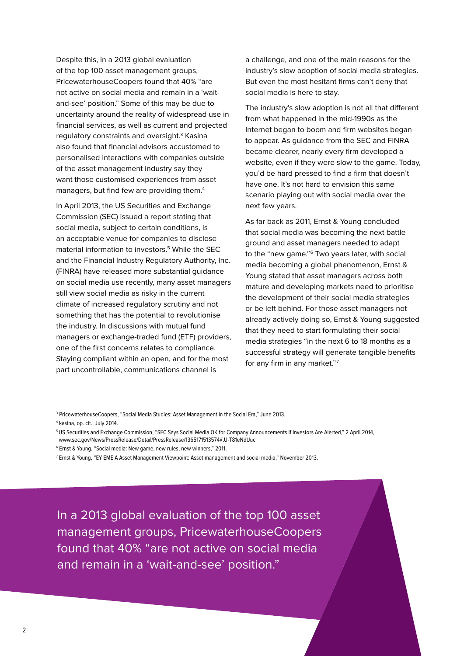Despite this, in a 2013 global evaluation of the top 100 asset management groups, PricewaterhouseCoopers found that 40% "are not active on social media and remain in a 'waitand-see' position." Some of this may be due to uncertainty around the reality of widespread use in financial services, as well as current and projected regulatory constraints and oversight.<sup>3</sup> Kasina also found that financial advisors accustomed to personalised interactions with companies outside of the asset management industry say they want those customised experiences from asset managers, but find few are providing them.4

In April 2013, the US Securities and Exchange Commission (SEC) issued a report stating that social media, subject to certain conditions, is an acceptable venue for companies to disclose material information to investors.5 While the SEC and the Financial Industry Regulatory Authority, Inc. (FINRA) have released more substantial guidance on social media use recently, many asset managers still view social media as risky in the current climate of increased regulatory scrutiny and not something that has the potential to revolutionise the industry. In discussions with mutual fund managers or exchange-traded fund (ETF) providers, one of the first concerns relates to compliance. Staying compliant within an open, and for the most part uncontrollable, communications channel is

a challenge, and one of the main reasons for the industry's slow adoption of social media strategies. But even the most hesitant firms can't deny that social media is here to stay.

The industry's slow adoption is not all that different from what happened in the mid-1990s as the Internet began to boom and firm websites began to appear. As guidance from the SEC and FINRA became clearer, nearly every firm developed a website, even if they were slow to the game. Today, you'd be hard pressed to find a firm that doesn't have one. It's not hard to envision this same scenario playing out with social media over the next few years.

As far back as 2011, Ernst & Young concluded that social media was becoming the next battle ground and asset managers needed to adapt to the "new game."<sup>6</sup> Two years later, with social media becoming a global phenomenon, Ernst & Young stated that asset managers across both mature and developing markets need to prioritise the development of their social media strategies or be left behind. For those asset managers not already actively doing so, Ernst & Young suggested that they need to start formulating their social media strategies "in the next 6 to 18 months as a successful strategy will generate tangible benefits for any firm in any market."7

In a 2013 global evaluation of the top 100 asset management groups, PricewaterhouseCoopers found that 40% "are not active on social media and remain in a 'wait-and-see' position."

<sup>3</sup> PricewaterhouseCoopers, "Social Media Studies: Asset Management in the Social Era," June 2013.

<sup>4</sup> kasina, op. cit., July 2014.

<sup>5</sup> US Securities and Exchange Commission, "SEC Says Social Media OK for Company Announcements if Investors Are Alerted," 2 April 2014, www.sec.gov/News/PressRelease/Detail/PressRelease/1365171513574#.U-T81eNdUuc

<sup>6</sup> Ernst & Young, "Social media: New game, new rules, new winners," 2011.

<sup>7</sup> Ernst & Young, "EY EMEIA Asset Management Viewpoint: Asset management and social media," November 2013.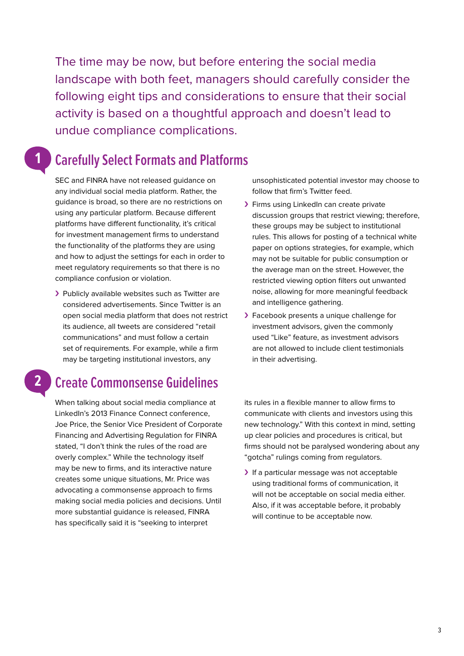The time may be now, but before entering the social media landscape with both feet, managers should carefully consider the following eight tips and considerations to ensure that their social activity is based on a thoughtful approach and doesn't lead to undue compliance complications.

## **Carefully Select Formats and Platforms**

SEC and FINRA have not released guidance on any individual social media platform. Rather, the guidance is broad, so there are no restrictions on using any particular platform. Because different platforms have different functionality, it's critical for investment management firms to understand the functionality of the platforms they are using and how to adjust the settings for each in order to meet regulatory requirements so that there is no compliance confusion or violation.

> Publicly available websites such as Twitter are considered advertisements. Since Twitter is an open social media platform that does not restrict its audience, all tweets are considered "retail communications" and must follow a certain set of requirements. For example, while a firm may be targeting institutional investors, any

## **2**

**1** 

## **Create Commonsense Guidelines**

When talking about social media compliance at LinkedIn's 2013 Finance Connect conference, Joe Price, the Senior Vice President of Corporate Financing and Advertising Regulation for FINRA stated, "I don't think the rules of the road are overly complex." While the technology itself may be new to firms, and its interactive nature creates some unique situations, Mr. Price was advocating a commonsense approach to firms making social media policies and decisions. Until more substantial guidance is released, FINRA has specifically said it is "seeking to interpret

unsophisticated potential investor may choose to follow that firm's Twitter feed.

- › Firms using LinkedIn can create private discussion groups that restrict viewing; therefore, these groups may be subject to institutional rules. This allows for posting of a technical white paper on options strategies, for example, which may not be suitable for public consumption or the average man on the street. However, the restricted viewing option filters out unwanted noise, allowing for more meaningful feedback and intelligence gathering.
- > Facebook presents a unique challenge for investment advisors, given the commonly used "Like" feature, as investment advisors are not allowed to include client testimonials in their advertising.

its rules in a flexible manner to allow firms to communicate with clients and investors using this new technology." With this context in mind, setting up clear policies and procedures is critical, but firms should not be paralysed wondering about any "gotcha" rulings coming from regulators.

> If a particular message was not acceptable using traditional forms of communication, it will not be acceptable on social media either. Also, if it was acceptable before, it probably will continue to be acceptable now.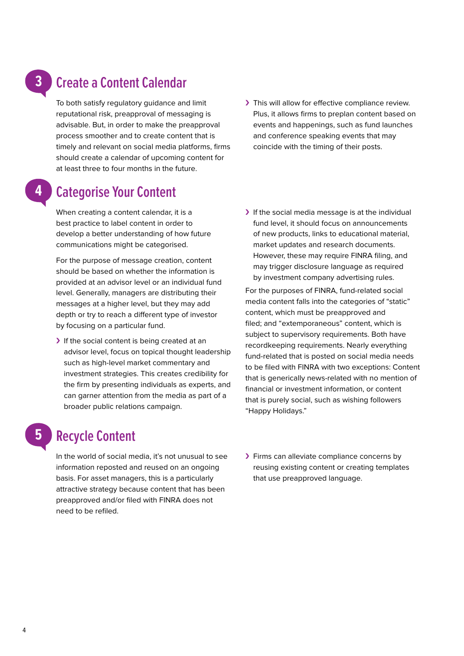## **Create a Content Calendar**

To both satisfy regulatory guidance and limit reputational risk, preapproval of messaging is advisable. But, in order to make the preapproval process smoother and to create content that is timely and relevant on social media platforms, firms should create a calendar of upcoming content for at least three to four months in the future.

> This will allow for effective compliance review. Plus, it allows firms to preplan content based on events and happenings, such as fund launches and conference speaking events that may coincide with the timing of their posts.

## **Categorise Your Content**

**4** 

**3**

**5** 

When creating a content calendar, it is a best practice to label content in order to develop a better understanding of how future communications might be categorised.

For the purpose of message creation, content should be based on whether the information is provided at an advisor level or an individual fund level. Generally, managers are distributing their messages at a higher level, but they may add depth or try to reach a different type of investor by focusing on a particular fund.

- If the social content is being created at an advisor level, focus on topical thought leadership such as high-level market commentary and investment strategies. This creates credibility for the firm by presenting individuals as experts, and can garner attention from the media as part of a broader public relations campaign.
- If the social media message is at the individual fund level, it should focus on announcements of new products, links to educational material, market updates and research documents. However, these may require FINRA filing, and may trigger disclosure language as required by investment company advertising rules.

For the purposes of FINRA, fund-related social media content falls into the categories of "static" content, which must be preapproved and filed; and "extemporaneous" content, which is subject to supervisory requirements. Both have recordkeeping requirements. Nearly everything fund-related that is posted on social media needs to be filed with FINRA with two exceptions: Content that is generically news-related with no mention of financial or investment information, or content that is purely social, such as wishing followers "Happy Holidays."

## **Recycle Content**

In the world of social media, it's not unusual to see information reposted and reused on an ongoing basis. For asset managers, this is a particularly attractive strategy because content that has been preapproved and/or filed with FINRA does not need to be refiled.

> Firms can alleviate compliance concerns by reusing existing content or creating templates that use preapproved language.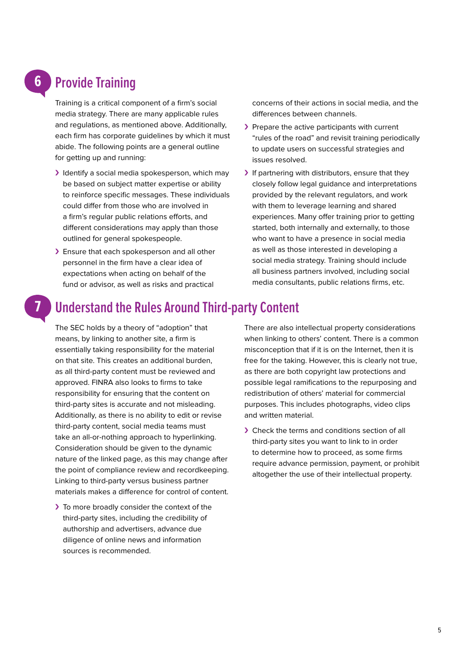## **Provide Training**

Training is a critical component of a firm's social media strategy. There are many applicable rules and regulations, as mentioned above. Additionally, each firm has corporate guidelines by which it must abide. The following points are a general outline for getting up and running:

- I dentify a social media spokesperson, which may be based on subject matter expertise or ability to reinforce specific messages. These individuals could differ from those who are involved in a firm's regular public relations efforts, and different considerations may apply than those outlined for general spokespeople.
- > Ensure that each spokesperson and all other personnel in the firm have a clear idea of expectations when acting on behalf of the fund or advisor, as well as risks and practical

concerns of their actions in social media, and the differences between channels.

- > Prepare the active participants with current "rules of the road" and revisit training periodically to update users on successful strategies and issues resolved.
- If partnering with distributors, ensure that they closely follow legal guidance and interpretations provided by the relevant regulators, and work with them to leverage learning and shared experiences. Many offer training prior to getting started, both internally and externally, to those who want to have a presence in social media as well as those interested in developing a social media strategy. Training should include all business partners involved, including social media consultants, public relations firms, etc.

## **7**

**6**

## **Understand the Rules Around Third-party Content**

The SEC holds by a theory of "adoption" that means, by linking to another site, a firm is essentially taking responsibility for the material on that site. This creates an additional burden, as all third-party content must be reviewed and approved. FINRA also looks to firms to take responsibility for ensuring that the content on third-party sites is accurate and not misleading. Additionally, as there is no ability to edit or revise third-party content, social media teams must take an all-or-nothing approach to hyperlinking. Consideration should be given to the dynamic nature of the linked page, as this may change after the point of compliance review and recordkeeping. Linking to third-party versus business partner materials makes a difference for control of content.

> To more broadly consider the context of the third-party sites, including the credibility of authorship and advertisers, advance due diligence of online news and information sources is recommended.

There are also intellectual property considerations when linking to others' content. There is a common misconception that if it is on the Internet, then it is free for the taking. However, this is clearly not true, as there are both copyright law protections and possible legal ramifications to the repurposing and redistribution of others' material for commercial purposes. This includes photographs, video clips and written material.

› Check the terms and conditions section of all third-party sites you want to link to in order to determine how to proceed, as some firms require advance permission, payment, or prohibit altogether the use of their intellectual property.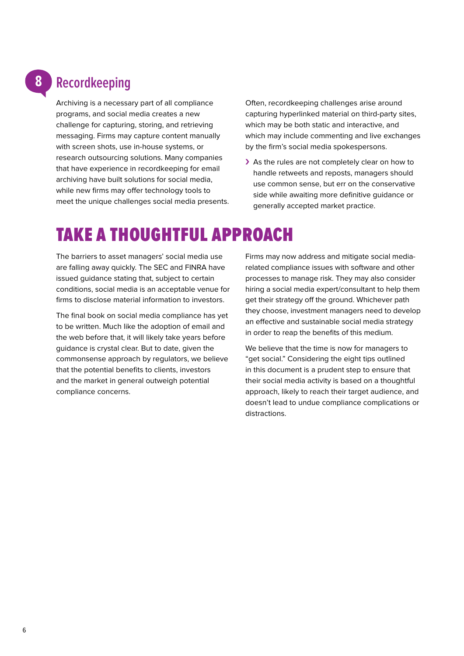### **Recordkeeping 8**

Archiving is a necessary part of all compliance programs, and social media creates a new challenge for capturing, storing, and retrieving messaging. Firms may capture content manually with screen shots, use in-house systems, or research outsourcing solutions. Many companies that have experience in recordkeeping for email archiving have built solutions for social media, while new firms may offer technology tools to meet the unique challenges social media presents.

Often, recordkeeping challenges arise around capturing hyperlinked material on third-party sites, which may be both static and interactive, and which may include commenting and live exchanges by the firm's social media spokespersons.

> As the rules are not completely clear on how to handle retweets and reposts, managers should use common sense, but err on the conservative side while awaiting more definitive guidance or generally accepted market practice.

## TAKE A THOUGHTFUL APPROACH

The barriers to asset managers' social media use are falling away quickly. The SEC and FINRA have issued guidance stating that, subject to certain conditions, social media is an acceptable venue for firms to disclose material information to investors.

The final book on social media compliance has yet to be written. Much like the adoption of email and the web before that, it will likely take years before guidance is crystal clear. But to date, given the commonsense approach by regulators, we believe that the potential benefits to clients, investors and the market in general outweigh potential compliance concerns.

Firms may now address and mitigate social mediarelated compliance issues with software and other processes to manage risk. They may also consider hiring a social media expert/consultant to help them get their strategy off the ground. Whichever path they choose, investment managers need to develop an effective and sustainable social media strategy in order to reap the benefits of this medium.

We believe that the time is now for managers to "get social." Considering the eight tips outlined in this document is a prudent step to ensure that their social media activity is based on a thoughtful approach, likely to reach their target audience, and doesn't lead to undue compliance complications or distractions.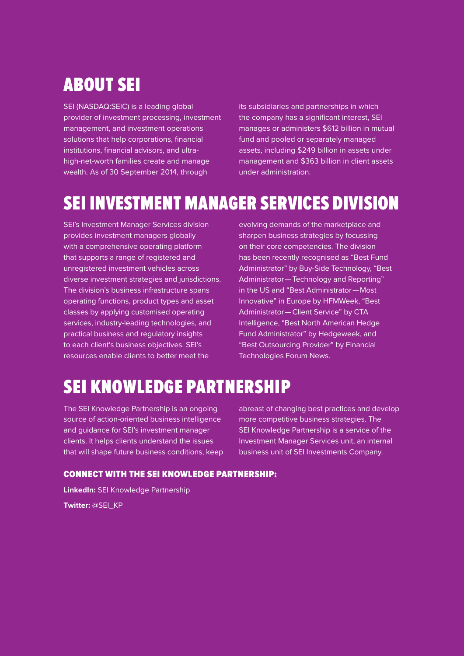# ABOUT SEI

SEI (NASDAQ:SEIC) is a leading global provider of investment processing, investment management, and investment operations solutions that help corporations, financial institutions, financial advisors, and ultrahigh-net-worth families create and manage wealth. As of 30 September 2014, through

its subsidiaries and partnerships in which the company has a significant interest, SEI manages or administers \$612 billion in mutual fund and pooled or separately managed assets, including \$249 billion in assets under management and \$363 billion in client assets under administration.

# SEI INVESTMENT MANAGER SERVICES DIVISION

SEI's Investment Manager Services division provides investment managers globally with a comprehensive operating platform that supports a range of registered and unregistered investment vehicles across diverse investment strategies and jurisdictions. The division's business infrastructure spans operating functions, product types and asset classes by applying customised operating services, industry-leading technologies, and practical business and regulatory insights to each client's business objectives. SEI's resources enable clients to better meet the

evolving demands of the marketplace and sharpen business strategies by focussing on their core competencies. The division has been recently recognised as "Best Fund Administrator" by Buy-Side Technology, "Best Administrator—Technology and Reporting" in the US and "Best Administrator—Most Innovative" in Europe by HFMWeek, "Best Administrator—Client Service" by CTA Intelligence, "Best North American Hedge Fund Administrator" by Hedgeweek, and "Best Outsourcing Provider" by Financial Technologies Forum News.

# SEI KNOWLEDGE PARTNERSHIP

The SEI Knowledge Partnership is an ongoing source of action-oriented business intelligence and guidance for SEI's investment manager clients. It helps clients understand the issues that will shape future business conditions, keep

abreast of changing best practices and develop more competitive business strategies. The SEI Knowledge Partnership is a service of the Investment Manager Services unit, an internal business unit of SEI Investments Company.

## CONNECT WITH THE SEI KNOWLEDGE PARTNERSHIP:

**LinkedIn:** SEI Knowledge Partnership

**Twitter:** @SEI\_KP